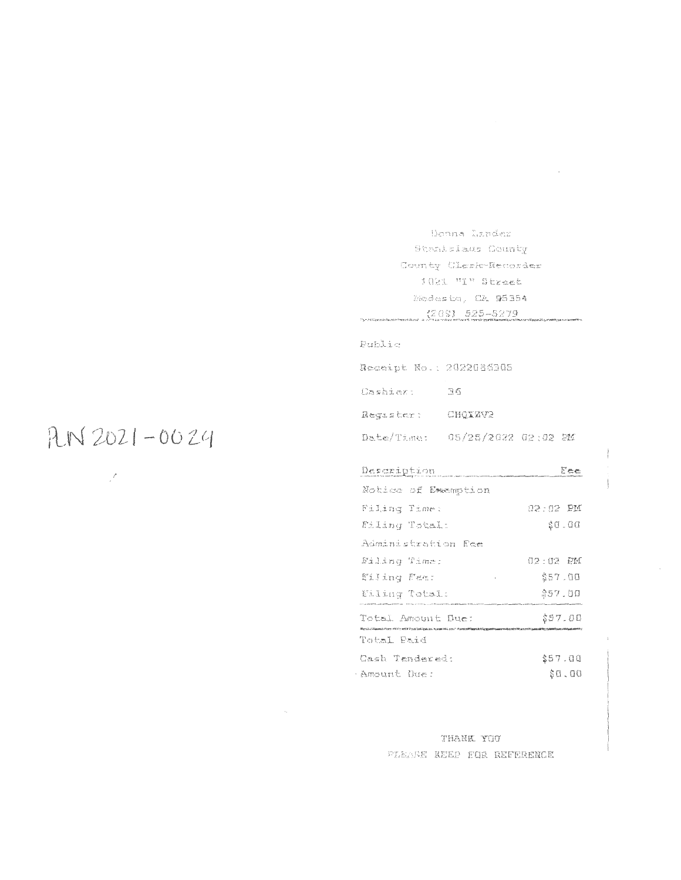Donns Lunder Stanislace County County Clerk-Recorder JORI "I" Street Nordas ko, CA 95354  $(205) 525 - 5279$ 

# Public

| Receipt No.: 2022086305        |         |  |
|--------------------------------|---------|--|
| Gashiert                       | -36     |  |
| Requater:                      | CHOXZV2 |  |
| Date/Time: 05/25/2022 02:02 PM |         |  |
|                                |         |  |

| Description         | Fee      |
|---------------------|----------|
| Notice of Exemption |          |
| Filing Time:        | 02:02 PM |
| Filing Total:       | \$0.00   |
| Administration Ree  |          |
| Filing Time:        | 02:02 PM |
| Eiling Fam:         | \$57.00  |
| Eiling Total:       | \$57.00  |
| Total Amount Due:   | \$57.00  |
| Total Paid          |          |
|                     | さロラー ハロ  |

|             | (Jash Tendered: | - 257.UU |  |  |        |
|-------------|-----------------|----------|--|--|--------|
| Amount Due: |                 |          |  |  | \$8.00 |

THANK YOU PLEASE REEP FOR REFERENCE

# $RN2021 - 0024$

 $\mathcal{I}$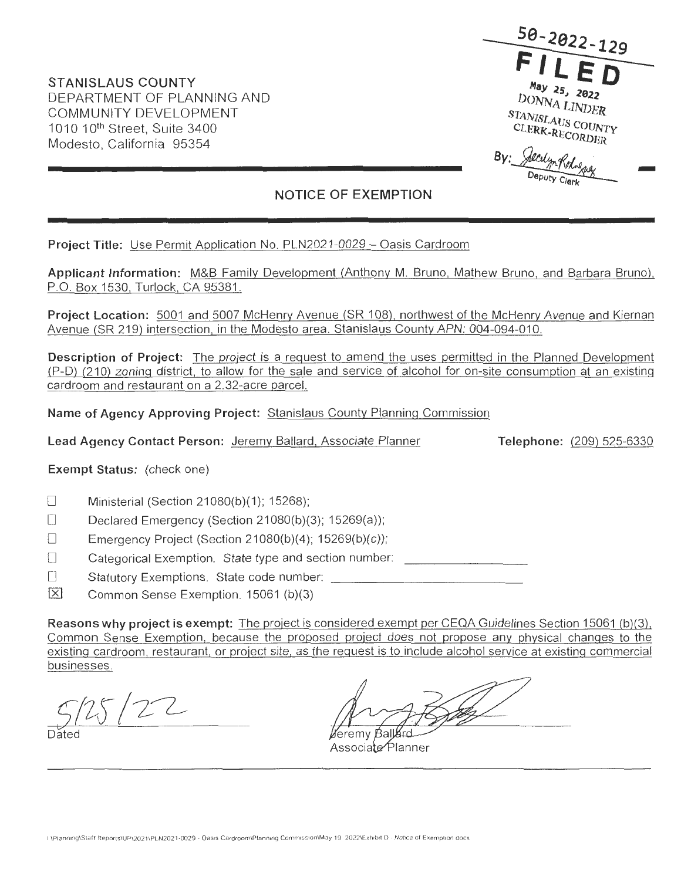**50-2022-129**  May 25, 2022  $DONNA$   $LINDER$  $STANISLAUS$  COUNTY CLERK-RECORDER **By:**  STANISLAUS COUNTY<br>CLERK-RECORDER<br>LERK-RECORDER<br>PECULA KALARA -

*j<)u~'lf~* .

# **NOTICE OF EXEMPTION**

**Project Title:** Use Permit Application No. PLN2021 -0029 - Oasis Cardroom

**Applicant Information:** M&B Family Development (Anthony M. Bruno, Mathew Bruno, and Barbara Bruno), P.O. Box 1530, Turlock, CA 95381 .

**Project Location:** 5001 and 5007 McHenry Avenue (SR 108), northwest of the McHenry Avenue and Kiernan Avenue (SR 219) intersection, in the Modesto area. Stanislaus County APN: 004-094-010.

**Description of Project:** The project is a request to amend the uses permitted in the Planned Development (P-D) (210) zoning district, to allow for the sale and service of alcohol for on-site consumption at an existing cardroom and restaurant on a 2.32-acre parcel.

**Name of Agency Approving Project:** Stanislaus County Planning Commission

**Lead Agency Contact Person:** Jeremy Ballard, Associate Planner

**Telephone:** (209) 525-6330

# **Exempt Status:** (check one)

- **D** Ministerial (Section 21080(b)(1); 15268);
- Declared Emergency (Section 21080(b)(3); 15269(a));
- D Emergency Project (Section 21080(b)(4); 15269(b)(c));

D Categorical Exemption. State type and section number:

□ Statutory Exemptions. State code number:

IBJ Common Sense Exemption. 15061 (b)(3)

**Reasons why project is exempt:** The project is considered exempt per CEQA Guidelines Section 15061 (b)(3), Common Sense Exemption, because the proposed project does not propose any physical changes to the existing cardroom, restaurant, or project site, as the request is to include alcohol service at existing commercial businesses .

 $25/22$ 

Dated

éremv Bal

Associate Planner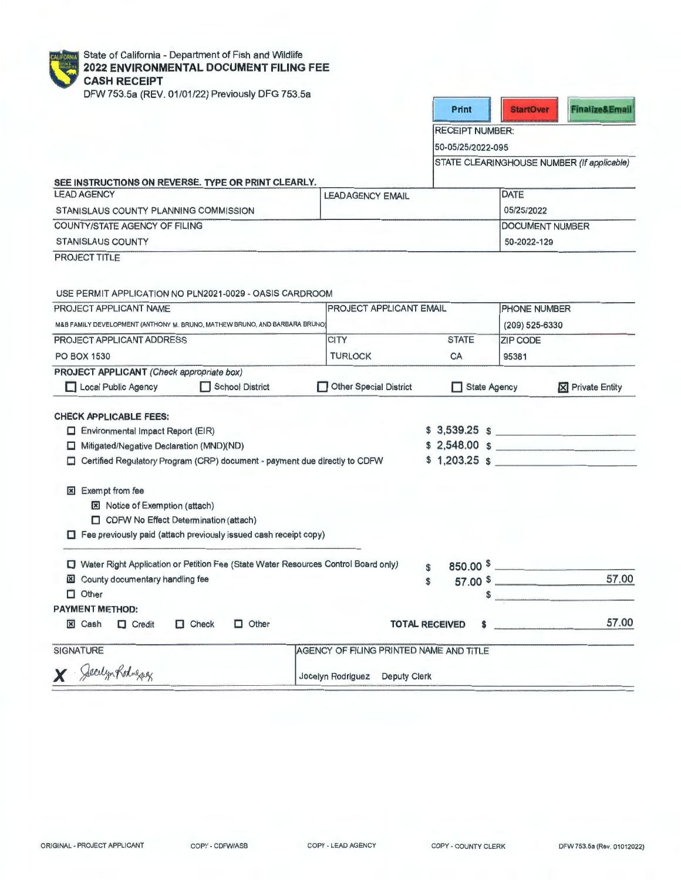| <b>CALIFORNIA</b> | <b>State</b> |
|-------------------|--------------|
|                   | 2022         |
|                   | CAS          |
|                   | DEW          |

e of California - Department of Fish and Wildlife **2022 ENVIRONMENTAL DOCUMENT FILING FEE CH RECEIPT** 

DFW 753.5a (REV. 01/01/22) Previously DFG 753.5a

| Print |  |
|-------|--|
|       |  |

RECEIPT NUMBER:

50-05/25/2022-095

STATE CLEARINGHOUSE NUMBER (If applicable)

| <b>LEAD AGENCY</b>                    | <b>LEADAGENCY EMAIL</b> | DATE       |  |
|---------------------------------------|-------------------------|------------|--|
| STANISLAUS COUNTY PLANNING COMMISSION |                         | 05/25/2022 |  |
| COUNTY/STATE AGENCY OF FILING         | <b>DOCUMENT NUMBER</b>  |            |  |
| <b>STANISLAUS COUNTY</b>              | 50-2022-129             |            |  |

USE PERMIT APPLICATION NO PLN2021 -0029 - OASIS CARDROOM

| PROJECT APPLICANT NAME<br>M&B FAMILY DEVELOPMENT (ANTHONY M. BRUNO, MATHEW BRUNO, AND BARBARA BRUNO) |                                                                                    |                                         | <b>PROJECT APPLICANT EMAIL</b> |                | PHONE NUMBER                                                                                                                                                                                                                  |  |  |
|------------------------------------------------------------------------------------------------------|------------------------------------------------------------------------------------|-----------------------------------------|--------------------------------|----------------|-------------------------------------------------------------------------------------------------------------------------------------------------------------------------------------------------------------------------------|--|--|
|                                                                                                      |                                                                                    |                                         |                                | (209) 525-6330 |                                                                                                                                                                                                                               |  |  |
| PROJECT APPLICANT ADDRESS                                                                            |                                                                                    | <b>CITY</b>                             | <b>STATE</b>                   | ZIP CODE       |                                                                                                                                                                                                                               |  |  |
| <b>PO BOX 1530</b>                                                                                   |                                                                                    | <b>TURLOCK</b>                          | CA                             | 95381          |                                                                                                                                                                                                                               |  |  |
| PROJECT APPLICANT (Check appropriate box)                                                            |                                                                                    |                                         |                                |                |                                                                                                                                                                                                                               |  |  |
| Local Public Agency                                                                                  | School District                                                                    | Other Special District                  | <b>State Agency</b>            |                | <b>X</b> Private Entity                                                                                                                                                                                                       |  |  |
| <b>CHECK APPLICABLE FEES:</b>                                                                        |                                                                                    |                                         |                                |                |                                                                                                                                                                                                                               |  |  |
| $\Box$ Environmental Impact Report (EIR)                                                             |                                                                                    |                                         |                                |                | $$3,539.25$ \$                                                                                                                                                                                                                |  |  |
| Mitigated/Negative Declaration (MND)(ND)                                                             |                                                                                    |                                         |                                |                | \$2,548.00 \$                                                                                                                                                                                                                 |  |  |
| ⊡                                                                                                    | Certified Regulatory Program (CRP) document - payment due directly to CDFW         |                                         |                                |                | $$1,203.25$ \$                                                                                                                                                                                                                |  |  |
|                                                                                                      |                                                                                    |                                         |                                |                |                                                                                                                                                                                                                               |  |  |
| Exempt from fee<br>×                                                                                 |                                                                                    |                                         |                                |                |                                                                                                                                                                                                                               |  |  |
| <b>図</b> Notice of Exemption (attach)                                                                |                                                                                    |                                         |                                |                |                                                                                                                                                                                                                               |  |  |
| CDFW No Effect Determination (attach)                                                                |                                                                                    |                                         |                                |                |                                                                                                                                                                                                                               |  |  |
|                                                                                                      | $\Box$ Fee previously paid (attach previously issued cash receipt copy)            |                                         |                                |                |                                                                                                                                                                                                                               |  |  |
| 0                                                                                                    | Water Right Application or Petition Fee (State Water Resources Control Board only) |                                         | $\mathbf{f}$                   |                | 850.00 $$$                                                                                                                                                                                                                    |  |  |
| County documentary handling fee<br>$\mathbb{E}$                                                      |                                                                                    |                                         | \$                             |                | 57.00<br>$57.00$ \$                                                                                                                                                                                                           |  |  |
| $\Box$ Other                                                                                         |                                                                                    |                                         |                                |                | the company of the company of the company of the company of the company of the company of the company of the company of the company of the company of the company of the company of the company of the company of the company |  |  |
| <b>PAYMENT METHOD:</b>                                                                               |                                                                                    |                                         |                                |                |                                                                                                                                                                                                                               |  |  |
| <b>X</b> Cash<br>$\Box$ Credit                                                                       | $\Box$ Check<br>$\Box$ Other                                                       |                                         | <b>TOTAL RECEIVED</b><br>S     |                | 57.00                                                                                                                                                                                                                         |  |  |
| <b>SIGNATURE</b>                                                                                     |                                                                                    | AGENCY OF FILING PRINTED NAME AND TITLE |                                |                |                                                                                                                                                                                                                               |  |  |
| X Seculyn Rodnessey                                                                                  |                                                                                    | Jocelyn Rodriguez Deputy Clerk          |                                |                |                                                                                                                                                                                                                               |  |  |